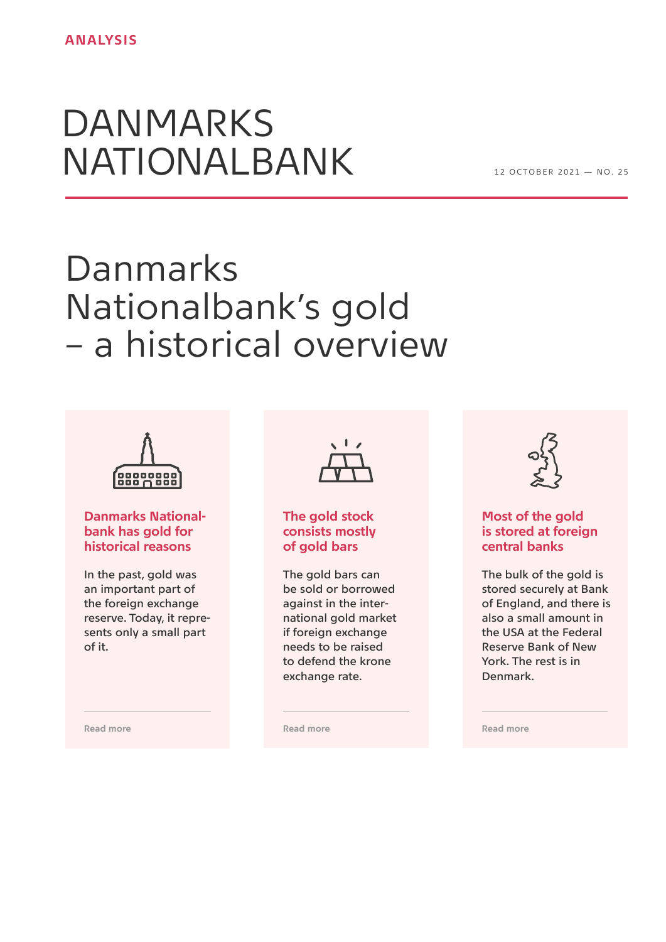# DANMARKS NATIONALBANK

1 2 OCTOBER 2021 — NO. 25

# Danmarks Nationalbank's gold – a historical overview



## **Danmarks Nationalbank has gold for historical reasons**

In the past, gold was an important part of the foreign exchange reserve. Today, it represents only a small part of it.



## **The gold stock consists mostly of gold bars**

The gold bars can be sold or borrowed against in the international gold market if foreign exchange needs to be raised to defend the krone exchange rate.



# **Most of the gold is stored at foreign central banks**

The bulk of the gold is stored securely at Bank of England, and there is also a small amount in the USA at the Federal Reserve Bank of New York. The rest is in Denmark.

**[Read more](#page-2-0)** 

**[Read more](#page-7-0)** 

**[Read more](#page-1-0)**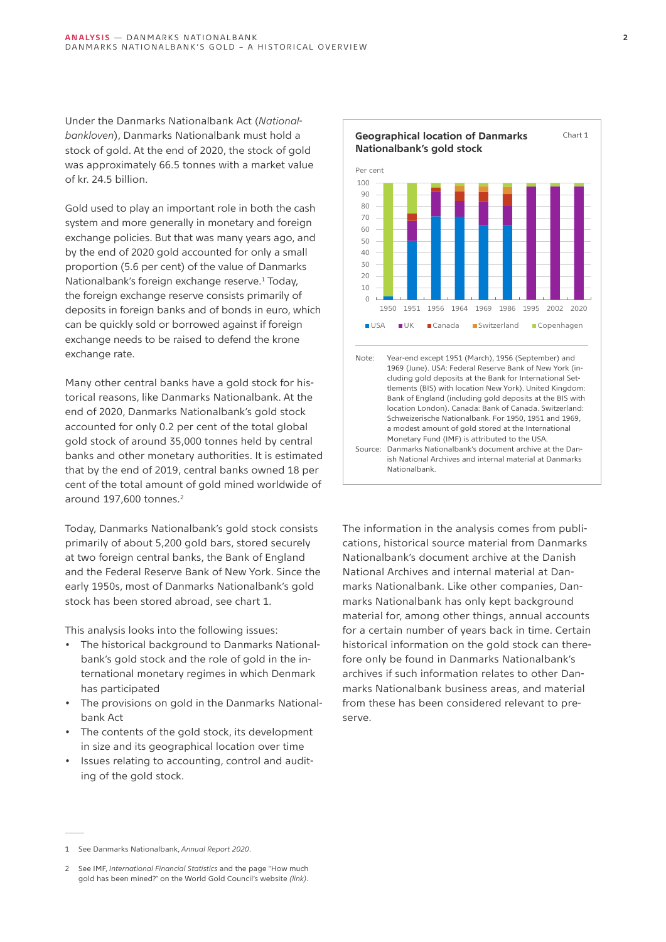<span id="page-1-0"></span>Under the Danmarks Nationalbank Act (*Nationalbankloven*), Danmarks Nationalbank must hold a stock of gold. At the end of 2020, the stock of gold was approximately 66.5 tonnes with a market value of kr. 24.5 billion.

Gold used to play an important role in both the cash system and more generally in monetary and foreign exchange policies. But that was many years ago, and by the end of 2020 gold accounted for only a small proportion (5.6 per cent) of the value of Danmarks Nationalbank's foreign exchange reserve.<sup>1</sup> Today, the foreign exchange reserve consists primarily of deposits in foreign banks and of bonds in euro, which can be quickly sold or borrowed against if foreign exchange needs to be raised to defend the krone exchange rate.

Many other central banks have a gold stock for historical reasons, like Danmarks Nationalbank. At the end of 2020, Danmarks Nationalbank's gold stock accounted for only 0.2 per cent of the total global gold stock of around 35,000 tonnes held by central banks and other monetary authorities. It is estimated that by the end of 2019, central banks owned 18 per cent of the total amount of gold mined worldwide of around 197,600 tonnes.<sup>2</sup>

Today, Danmarks Nationalbank's gold stock consists primarily of about 5,200 gold bars, stored securely at two foreign central banks, the Bank of England and the Federal Reserve Bank of New York. Since the early 1950s, most of Danmarks Nationalbank's gold stock has been stored abroad, see chart 1.

This analysis looks into the following issues:

- The historical background to Danmarks Nationalbank's gold stock and the role of gold in the international monetary regimes in which Denmark has participated
- The provisions on gold in the Danmarks Nationalbank Act
- The contents of the gold stock, its development in size and its geographical location over time
- Issues relating to accounting, control and auditing of the gold stock.



ish National Archives and internal material at Danmarks Nationalbank.

The information in the analysis comes from publications, historical source material from Danmarks Nationalbank's document archive at the Danish National Archives and internal material at Danmarks Nationalbank. Like other companies, Danmarks Nationalbank has only kept background material for, among other things, annual accounts for a certain number of years back in time. Certain historical information on the gold stock can therefore only be found in Danmarks Nationalbank's archives if such information relates to other Danmarks Nationalbank business areas, and material from these has been considered relevant to preserve.

<sup>1</sup> See Danmarks Nationalbank, *Annual Report 2020*.

<sup>2</sup> See IMF, *International Financial Statistics* and the page "How much gold has been mined?" on the World Gold Council's website *[\(link\)](https://www.gold.org/about-gold/gold-supply/gold-mining/how-much-gold)*.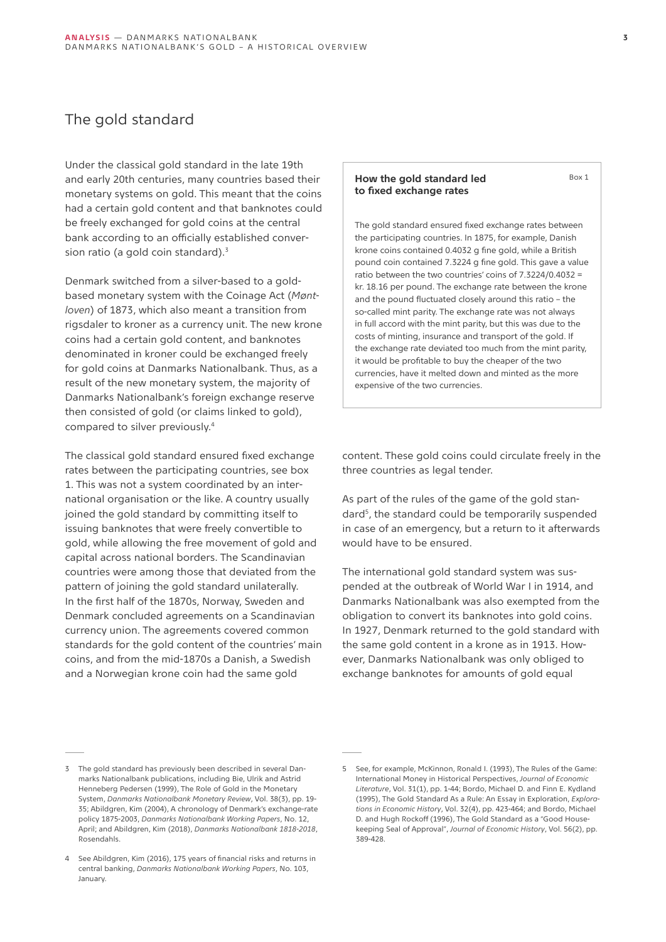# <span id="page-2-0"></span>The gold standard

Under the classical gold standard in the late 19th and early 20th centuries, many countries based their monetary systems on gold. This meant that the coins had a certain gold content and that banknotes could be freely exchanged for gold coins at the central bank according to an officially established conversion ratio (a gold coin standard).<sup>3</sup>

Denmark switched from a silver-based to a goldbased monetary system with the Coinage Act (*Møntloven*) of 1873, which also meant a transition from rigsdaler to kroner as a currency unit. The new krone coins had a certain gold content, and banknotes denominated in kroner could be exchanged freely for gold coins at Danmarks Nationalbank. Thus, as a result of the new monetary system, the majority of Danmarks Nationalbank's foreign exchange reserve then consisted of gold (or claims linked to gold), compared to silver previously.4

The classical gold standard ensured fixed exchange rates between the participating countries, see box 1. This was not a system coordinated by an international organisation or the like. A country usually joined the gold standard by committing itself to issuing banknotes that were freely convertible to gold, while allowing the free movement of gold and capital across national borders. The Scandinavian countries were among those that deviated from the pattern of joining the gold standard unilaterally. In the first half of the 1870s, Norway, Sweden and Denmark concluded agreements on a Scandinavian currency union. The agreements covered common standards for the gold content of the countries' main coins, and from the mid-1870s a Danish, a Swedish and a Norwegian krone coin had the same gold

## **How the gold standard led to fixed exchange rates**

The gold standard ensured fixed exchange rates between the participating countries. In 1875, for example, Danish krone coins contained 0.4032 g fine gold, while a British pound coin contained 7.3224 g fine gold. This gave a value ratio between the two countries' coins of 7.3224/0.4032 = kr. 18.16 per pound. The exchange rate between the krone and the pound fluctuated closely around this ratio – the so-called mint parity. The exchange rate was not always in full accord with the mint parity, but this was due to the costs of minting, insurance and transport of the gold. If the exchange rate deviated too much from the mint parity, it would be profitable to buy the cheaper of the two currencies, have it melted down and minted as the more expensive of the two currencies.

content. These gold coins could circulate freely in the three countries as legal tender.

As part of the rules of the game of the gold standard5, the standard could be temporarily suspended in case of an emergency, but a return to it afterwards would have to be ensured.

The international gold standard system was suspended at the outbreak of World War I in 1914, and Danmarks Nationalbank was also exempted from the obligation to convert its banknotes into gold coins. In 1927, Denmark returned to the gold standard with the same gold content in a krone as in 1913. However, Danmarks Nationalbank was only obliged to exchange banknotes for amounts of gold equal

 $Box 1$ 

<sup>3</sup> The gold standard has previously been described in several Danmarks Nationalbank publications, including Bie, Ulrik and Astrid Henneberg Pedersen (1999), The Role of Gold in the Monetary System, *Danmarks Nationalbank Monetary Review*, Vol. 38(3), pp. 19- 35; Abildgren, Kim (2004), A chronology of Denmark's exchange-rate policy 1875-2003, *Danmarks Nationalbank Working Papers*, No. 12, April; and Abildgren, Kim (2018), *Danmarks Nationalbank 1818-2018*, Rosendahls.

<sup>4</sup> See Abildgren, Kim (2016), 175 years of financial risks and returns in central banking, *Danmarks Nationalbank Working Papers*, No. 103, January.

<sup>5</sup> See, for example, McKinnon, Ronald I. (1993), The Rules of the Game: International Money in Historical Perspectives, *Journal of Economic Literature*, Vol. 31(1), pp. 1-44; Bordo, Michael D. and Finn E. Kydland (1995), The Gold Standard As a Rule: An Essay in Exploration, *Explorations in Economic History*, Vol. 32(4), pp. 423-464; and Bordo, Michael D. and Hugh Rockoff (1996), The Gold Standard as a "Good Housekeeping Seal of Approval", *Journal of Economic History*, Vol. 56(2), pp. 389-428.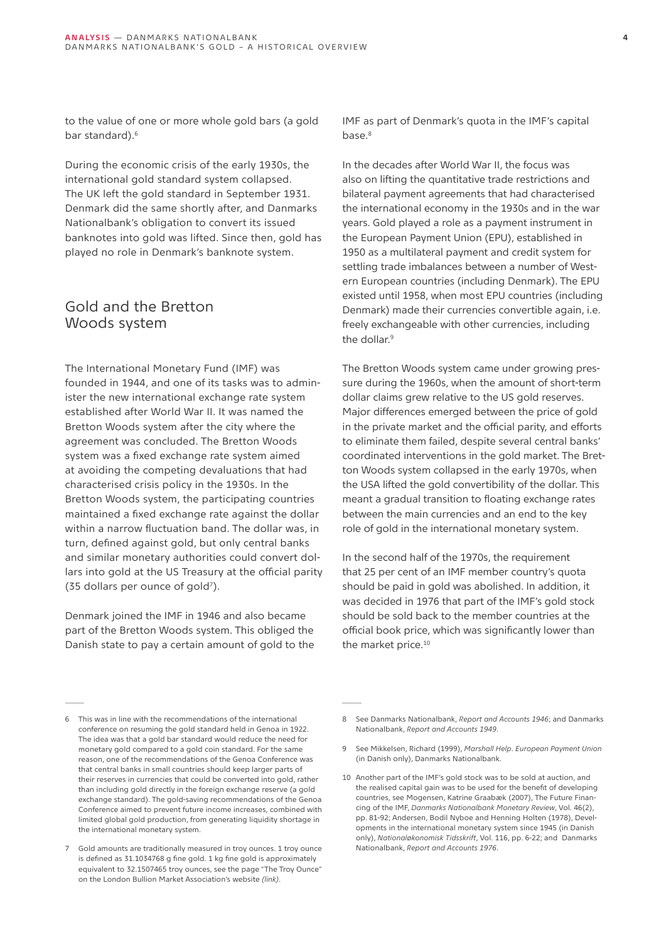to the value of one or more whole gold bars (a gold bar standard).<sup>6</sup>

During the economic crisis of the early 1930s, the international gold standard system collapsed. The UK left the gold standard in September 1931. Denmark did the same shortly after, and Danmarks Nationalbank's obligation to convert its issued banknotes into gold was lifted. Since then, gold has played no role in Denmark's banknote system.

# Gold and the Bretton Woods system

The International Monetary Fund (IMF) was founded in 1944, and one of its tasks was to administer the new international exchange rate system established after World War II. It was named the Bretton Woods system after the city where the agreement was concluded. The Bretton Woods system was a fixed exchange rate system aimed at avoiding the competing devaluations that had characterised crisis policy in the 1930s. In the Bretton Woods system, the participating countries maintained a fixed exchange rate against the dollar within a narrow fluctuation band. The dollar was, in turn, defined against gold, but only central banks and similar monetary authorities could convert dollars into gold at the US Treasury at the official parity (35 dollars per ounce of gold7).

Denmark joined the IMF in 1946 and also became part of the Bretton Woods system. This obliged the Danish state to pay a certain amount of gold to the IMF as part of Denmark's quota in the IMF's capital base.<sup>8</sup>

In the decades after World War II, the focus was also on lifting the quantitative trade restrictions and bilateral payment agreements that had characterised the international economy in the 1930s and in the war years. Gold played a role as a payment instrument in the European Payment Union (EPU), established in 1950 as a multilateral payment and credit system for settling trade imbalances between a number of Western European countries (including Denmark). The EPU existed until 1958, when most EPU countries (including Denmark) made their currencies convertible again, i.e. freely exchangeable with other currencies, including the dollar.<sup>9</sup>

The Bretton Woods system came under growing pressure during the 1960s, when the amount of short-term dollar claims grew relative to the US gold reserves. Major differences emerged between the price of gold in the private market and the official parity, and efforts to eliminate them failed, despite several central banks' coordinated interventions in the gold market. The Bretton Woods system collapsed in the early 1970s, when the USA lifted the gold convertibility of the dollar. This meant a gradual transition to floating exchange rates between the main currencies and an end to the key role of gold in the international monetary system.

In the second half of the 1970s, the requirement that 25 per cent of an IMF member country's quota should be paid in gold was abolished. In addition, it was decided in 1976 that part of the IMF's gold stock should be sold back to the member countries at the official book price, which was significantly lower than the market price.<sup>10</sup>

<sup>6</sup> This was in line with the recommendations of the international conference on resuming the gold standard held in Genoa in 1922. The idea was that a gold bar standard would reduce the need for monetary gold compared to a gold coin standard. For the same reason, one of the recommendations of the Genoa Conference was that central banks in small countries should keep larger parts of their reserves in currencies that could be converted into gold, rather than including gold directly in the foreign exchange reserve (a gold exchange standard). The gold-saving recommendations of the Genoa Conference aimed to prevent future income increases, combined with limited global gold production, from generating liquidity shortage in the international monetary system.

<sup>7</sup> Gold amounts are traditionally measured in troy ounces. 1 troy ounce is defined as 31.1034768 g fine gold. 1 kg fine gold is approximately equivalent to 32.1507465 troy ounces, see the page "The Troy Ounce" on the London Bullion Market Association's website *[\(link\)](https://www.lbma.org.uk/wonders-of-gold/items/the-troy-ounce)*.

<sup>8</sup> See Danmarks Nationalbank, *Report and Accounts 1946*; and Danmarks Nationalbank, *Report and Accounts 1949*.

<sup>9</sup> See Mikkelsen, Richard (1999), *Marshall Help*. *European Payment Union*  (in Danish only), Danmarks Nationalbank.

<sup>10</sup> Another part of the IMF's gold stock was to be sold at auction, and the realised capital gain was to be used for the benefit of developing countries, see Mogensen, Katrine Graabæk (2007), The Future Financing of the IMF, *Danmarks Nationalbank Monetary Review*, Vol. 46(2), pp. 81-92; Andersen, Bodil Nyboe and Henning Holten (1978), Developments in the international monetary system since 1945 (in Danish only), *Nationaløkonomisk Tidsskrift*, Vol. 116, pp. 6-22; and Danmarks Nationalbank, *Report and Accounts 1976*.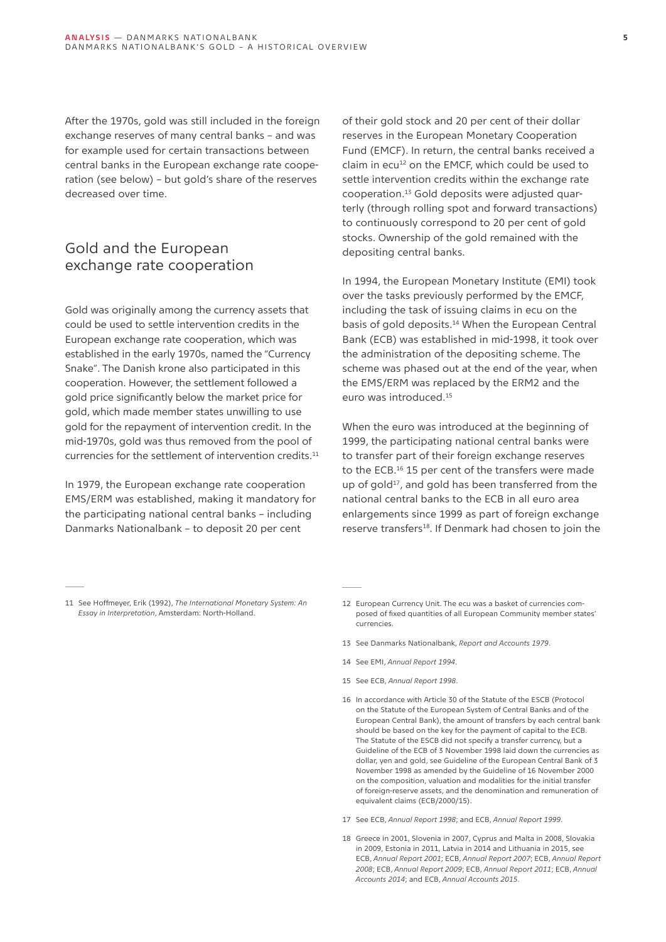After the 1970s, gold was still included in the foreign exchange reserves of many central banks – and was for example used for certain transactions between central banks in the European exchange rate cooperation (see below) – but gold's share of the reserves decreased over time.

# Gold and the European exchange rate cooperation

Gold was originally among the currency assets that could be used to settle intervention credits in the European exchange rate cooperation, which was established in the early 1970s, named the "Currency Snake". The Danish krone also participated in this cooperation. However, the settlement followed a gold price significantly below the market price for gold, which made member states unwilling to use gold for the repayment of intervention credit. In the mid-1970s, gold was thus removed from the pool of currencies for the settlement of intervention credits.<sup>11</sup>

In 1979, the European exchange rate cooperation EMS/ERM was established, making it mandatory for the participating national central banks – including Danmarks Nationalbank – to deposit 20 per cent

of their gold stock and 20 per cent of their dollar reserves in the European Monetary Cooperation Fund (EMCF). In return, the central banks received a claim in ecu<sup>12</sup> on the EMCF, which could be used to settle intervention credits within the exchange rate cooperation.13 Gold deposits were adjusted quarterly (through rolling spot and forward transactions) to continuously correspond to 20 per cent of gold stocks. Ownership of the gold remained with the depositing central banks.

In 1994, the European Monetary Institute (EMI) took over the tasks previously performed by the EMCF, including the task of issuing claims in ecu on the basis of gold deposits.<sup>14</sup> When the European Central Bank (ECB) was established in mid-1998, it took over the administration of the depositing scheme. The scheme was phased out at the end of the year, when the EMS/ERM was replaced by the ERM2 and the euro was introduced.15

When the euro was introduced at the beginning of 1999, the participating national central banks were to transfer part of their foreign exchange reserves to the ECB.16 15 per cent of the transfers were made up of gold<sup>17</sup>, and gold has been transferred from the national central banks to the ECB in all euro area enlargements since 1999 as part of foreign exchange reserve transfers<sup>18</sup>. If Denmark had chosen to join the

- 11 See Hoffmeyer, Erik (1992), *The International Monetary System: An Essay in Interpretation*, Amsterdam: North-Holland.
- 12 European Currency Unit. The ecu was a basket of currencies composed of fixed quantities of all European Community member states' currencies.
- 13 See Danmarks Nationalbank, *Report and Accounts 1979*.
- 14 See EMI, *Annual Report 1994*.
- 15 See ECB, *Annual Report 1998*.
- 16 In accordance with Article 30 of the Statute of the ESCB (Protocol on the Statute of the European System of Central Banks and of the European Central Bank), the amount of transfers by each central bank should be based on the key for the payment of capital to the ECB. The Statute of the ESCB did not specify a transfer currency, but a Guideline of the ECB of 3 November 1998 laid down the currencies as dollar, yen and gold, see Guideline of the European Central Bank of 3 November 1998 as amended by the Guideline of 16 November 2000 on the composition, valuation and modalities for the initial transfer of foreign-reserve assets, and the denomination and remuneration of equivalent claims (ECB/2000/15).
- 17 See ECB, *Annual Report 1998*; and ECB, *Annual Report 1999*.
- 18 Greece in 2001, Slovenia in 2007, Cyprus and Malta in 2008, Slovakia in 2009, Estonia in 2011, Latvia in 2014 and Lithuania in 2015, see ECB, *Annual Report 2001*; ECB, *Annual Report 2007*; ECB, *Annual Report 2008*; ECB, *Annual Report 2009*; ECB, *Annual Report 2011*; ECB, *Annual Accounts 2014*; and ECB, *Annual Accounts 2015*.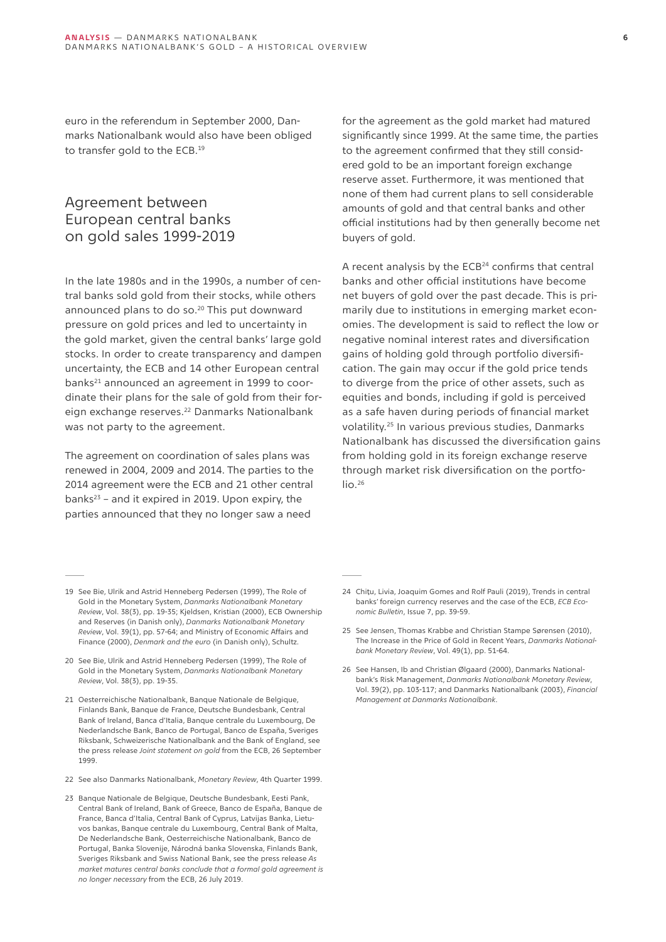euro in the referendum in September 2000, Danmarks Nationalbank would also have been obliged to transfer gold to the ECB.19

# Agreement between European central banks on gold sales 1999-2019

In the late 1980s and in the 1990s, a number of central banks sold gold from their stocks, while others announced plans to do so.<sup>20</sup> This put downward pressure on gold prices and led to uncertainty in the gold market, given the central banks' large gold stocks. In order to create transparency and dampen uncertainty, the ECB and 14 other European central banks<sup>21</sup> announced an agreement in 1999 to coordinate their plans for the sale of gold from their foreign exchange reserves.<sup>22</sup> Danmarks Nationalbank was not party to the agreement.

The agreement on coordination of sales plans was renewed in 2004, 2009 and 2014. The parties to the 2014 agreement were the ECB and 21 other central banks $23$  – and it expired in 2019. Upon expiry, the parties announced that they no longer saw a need

for the agreement as the gold market had matured significantly since 1999. At the same time, the parties to the agreement confirmed that they still considered gold to be an important foreign exchange reserve asset. Furthermore, it was mentioned that none of them had current plans to sell considerable amounts of gold and that central banks and other official institutions had by then generally become net buyers of gold.

A recent analysis by the ECB<sup>24</sup> confirms that central banks and other official institutions have become net buyers of gold over the past decade. This is primarily due to institutions in emerging market economies. The development is said to reflect the low or negative nominal interest rates and diversification gains of holding gold through portfolio diversification. The gain may occur if the gold price tends to diverge from the price of other assets, such as equities and bonds, including if gold is perceived as a safe haven during periods of financial market volatility.25 In various previous studies, Danmarks Nationalbank has discussed the diversification gains from holding gold in its foreign exchange reserve through market risk diversification on the portfo- $\ln 2^{26}$ 

- 19 See Bie, Ulrik and Astrid Henneberg Pedersen (1999), The Role of Gold in the Monetary System, *Danmarks Nationalbank Monetary Review*, Vol. 38(3), pp. 19-35; Kjeldsen, Kristian (2000), ECB Ownership and Reserves (in Danish only), *Danmarks Nationalbank Monetary Review*, Vol. 39(1), pp. 57-64; and Ministry of Economic Affairs and Finance (2000), *Denmark and the euro* (in Danish only), Schultz.
- 20 See Bie, Ulrik and Astrid Henneberg Pedersen (1999), The Role of Gold in the Monetary System, *Danmarks Nationalbank Monetary Review*, Vol. 38(3), pp. 19-35.
- 21 Oesterreichische Nationalbank, Banque Nationale de Belgique, Finlands Bank, Banque de France, Deutsche Bundesbank, Central Bank of Ireland, Banca d'Italia, Banque centrale du Luxembourg, De Nederlandsche Bank, Banco de Portugal, Banco de España, Sveriges Riksbank, Schweizerische Nationalbank and the Bank of England, see the press release *Joint statement on gold* from the ECB, 26 September 1999.
- 22 See also Danmarks Nationalbank, *Monetary Review*, 4th Quarter 1999.
- 23 Banque Nationale de Belgique, Deutsche Bundesbank, Eesti Pank, Central Bank of Ireland, Bank of Greece, Banco de España, Banque de France, Banca d'Italia, Central Bank of Cyprus, Latvijas Banka, Lietuvos bankas, Banque centrale du Luxembourg, Central Bank of Malta, De Nederlandsche Bank, Oesterreichische Nationalbank, Banco de Portugal, Banka Slovenije, Národná banka Slovenska, Finlands Bank, Sveriges Riksbank and Swiss National Bank, see the press release *As market matures central banks conclude that a formal gold agreement is no longer necessary* from the ECB, 26 July 2019.
- 24 Chitu, Livia, Joaquim Gomes and Rolf Pauli (2019), Trends in central banks' foreign currency reserves and the case of the ECB, *ECB Economic Bulletin*, Issue 7, pp. 39-59.
- 25 See Jensen, Thomas Krabbe and Christian Stampe Sørensen (2010), The Increase in the Price of Gold in Recent Years, *Danmarks Nationalbank Monetary Review*, Vol. 49(1), pp. 51-64.
- 26 See Hansen, Ib and Christian Ølgaard (2000), Danmarks Nationalbank's Risk Management, *Danmarks Nationalbank Monetary Review*, Vol. 39(2), pp. 103-117; and Danmarks Nationalbank (2003), *Financial Management at Danmarks Nationalbank*.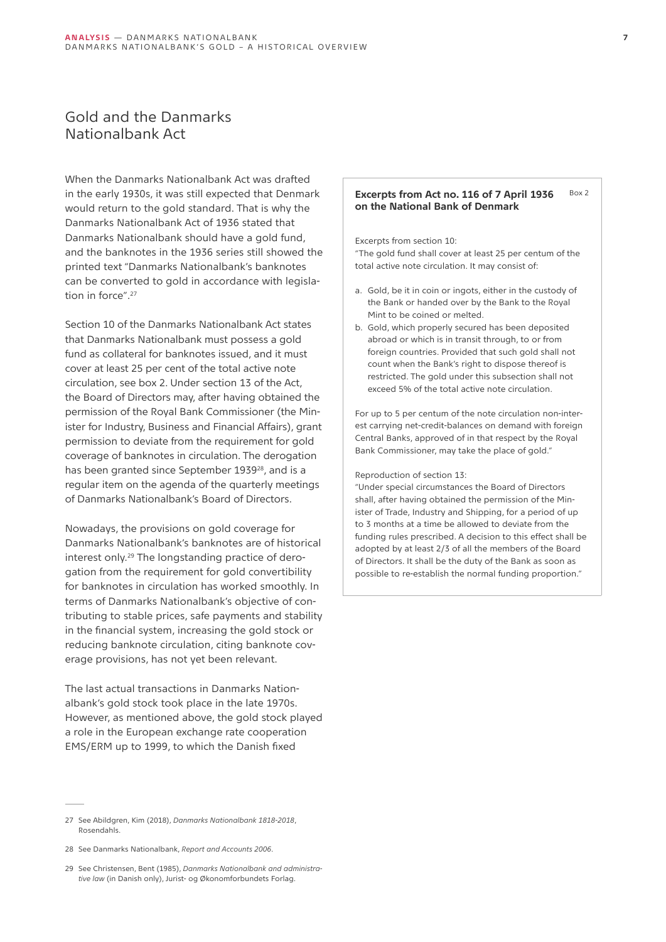# Gold and the Danmarks Nationalbank Act

When the Danmarks Nationalbank Act was drafted in the early 1930s, it was still expected that Denmark would return to the gold standard. That is why the Danmarks Nationalbank Act of 1936 stated that Danmarks Nationalbank should have a gold fund, and the banknotes in the 1936 series still showed the printed text "Danmarks Nationalbank's banknotes can be converted to gold in accordance with legislation in force".27

Section 10 of the Danmarks Nationalbank Act states that Danmarks Nationalbank must possess a gold fund as collateral for banknotes issued, and it must cover at least 25 per cent of the total active note circulation, see box 2. Under section 13 of the Act, the Board of Directors may, after having obtained the permission of the Royal Bank Commissioner (the Minister for Industry, Business and Financial Affairs), grant permission to deviate from the requirement for gold coverage of banknotes in circulation. The derogation has been granted since September 1939<sup>28</sup>, and is a regular item on the agenda of the quarterly meetings of Danmarks Nationalbank's Board of Directors.

Nowadays, the provisions on gold coverage for Danmarks Nationalbank's banknotes are of historical interest only.29 The longstanding practice of derogation from the requirement for gold convertibility for banknotes in circulation has worked smoothly. In terms of Danmarks Nationalbank's objective of contributing to stable prices, safe payments and stability in the financial system, increasing the gold stock or reducing banknote circulation, citing banknote coverage provisions, has not yet been relevant.

The last actual transactions in Danmarks Nationalbank's gold stock took place in the late 1970s. However, as mentioned above, the gold stock played a role in the European exchange rate cooperation EMS/ERM up to 1999, to which the Danish fixed

#### **Excerpts from Act no. 116 of 7 April 1936 on the National Bank of Denmark** Box 2

Excerpts from section 10:

"The gold fund shall cover at least 25 per centum of the total active note circulation. It may consist of:

- a. Gold, be it in coin or ingots, either in the custody of the Bank or handed over by the Bank to the Royal Mint to be coined or melted.
- b. Gold, which properly secured has been deposited abroad or which is in transit through, to or from foreign countries. Provided that such gold shall not count when the Bank's right to dispose thereof is restricted. The gold under this subsection shall not exceed 5% of the total active note circulation.

For up to 5 per centum of the note circulation non-interest carrying net-credit-balances on demand with foreign Central Banks, approved of in that respect by the Royal Bank Commissioner, may take the place of gold."

### Reproduction of section 13:

"Under special circumstances the Board of Directors shall, after having obtained the permission of the Minister of Trade, Industry and Shipping, for a period of up to 3 months at a time be allowed to deviate from the funding rules prescribed. A decision to this effect shall be adopted by at least 2/3 of all the members of the Board of Directors. It shall be the duty of the Bank as soon as possible to re-establish the normal funding proportion."

<sup>27</sup> See Abildgren, Kim (2018), *Danmarks Nationalbank 1818-2018*, Rosendahls.

<sup>28</sup> See Danmarks Nationalbank, *Report and Accounts 2006*.

<sup>29</sup> See Christensen, Bent (1985), *Danmarks Nationalbank and administrative law* (in Danish only), Jurist- og Økonomforbundets Forlag.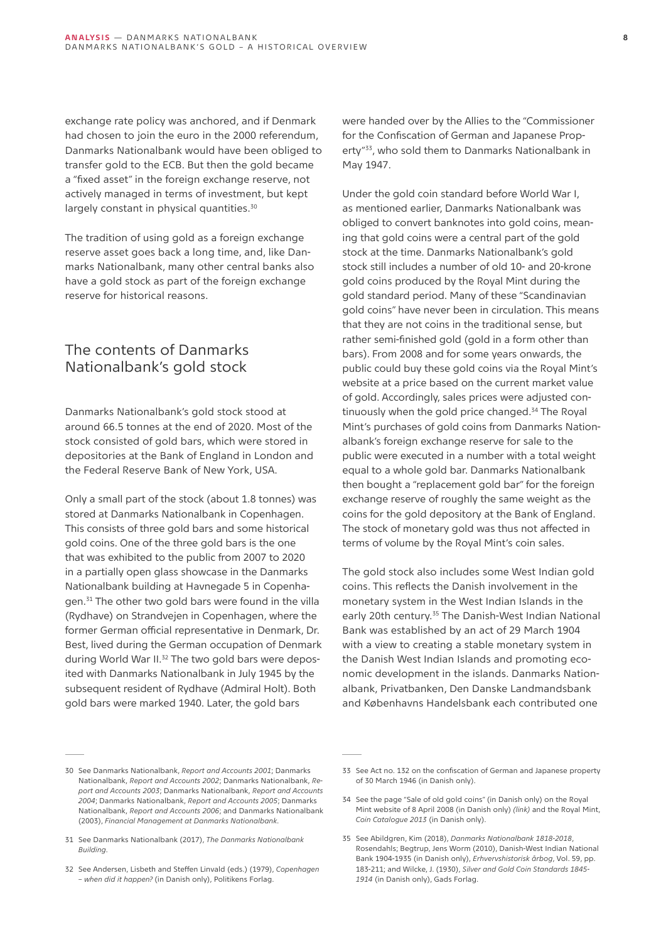<span id="page-7-0"></span>exchange rate policy was anchored, and if Denmark had chosen to join the euro in the 2000 referendum, Danmarks Nationalbank would have been obliged to transfer gold to the ECB. But then the gold became a "fixed asset" in the foreign exchange reserve, not actively managed in terms of investment, but kept largely constant in physical quantities.<sup>30</sup>

The tradition of using gold as a foreign exchange reserve asset goes back a long time, and, like Danmarks Nationalbank, many other central banks also have a gold stock as part of the foreign exchange reserve for historical reasons.

# The contents of Danmarks Nationalbank's gold stock

Danmarks Nationalbank's gold stock stood at around 66.5 tonnes at the end of 2020. Most of the stock consisted of gold bars, which were stored in depositories at the Bank of England in London and the Federal Reserve Bank of New York, USA.

Only a small part of the stock (about 1.8 tonnes) was stored at Danmarks Nationalbank in Copenhagen. This consists of three gold bars and some historical gold coins. One of the three gold bars is the one that was exhibited to the public from 2007 to 2020 in a partially open glass showcase in the Danmarks Nationalbank building at Havnegade 5 in Copenhagen.31 The other two gold bars were found in the villa (Rydhave) on Strandvejen in Copenhagen, where the former German official representative in Denmark, Dr. Best, lived during the German occupation of Denmark during World War II.32 The two gold bars were deposited with Danmarks Nationalbank in July 1945 by the subsequent resident of Rydhave (Admiral Holt). Both gold bars were marked 1940. Later, the gold bars

were handed over by the Allies to the "Commissioner for the Confiscation of German and Japanese Property"33, who sold them to Danmarks Nationalbank in May 1947.

Under the gold coin standard before World War I, as mentioned earlier, Danmarks Nationalbank was obliged to convert banknotes into gold coins, meaning that gold coins were a central part of the gold stock at the time. Danmarks Nationalbank's gold stock still includes a number of old 10- and 20-krone gold coins produced by the Royal Mint during the gold standard period. Many of these "Scandinavian gold coins" have never been in circulation. This means that they are not coins in the traditional sense, but rather semi-finished gold (gold in a form other than bars). From 2008 and for some years onwards, the public could buy these gold coins via the Royal Mint's website at a price based on the current market value of gold. Accordingly, sales prices were adjusted continuously when the gold price changed.<sup>34</sup> The Royal Mint's purchases of gold coins from Danmarks Nationalbank's foreign exchange reserve for sale to the public were executed in a number with a total weight equal to a whole gold bar. Danmarks Nationalbank then bought a "replacement gold bar" for the foreign exchange reserve of roughly the same weight as the coins for the gold depository at the Bank of England. The stock of monetary gold was thus not affected in terms of volume by the Royal Mint's coin sales.

The gold stock also includes some West Indian gold coins. This reflects the Danish involvement in the monetary system in the West Indian Islands in the early 20th century.<sup>35</sup> The Danish-West Indian National Bank was established by an act of 29 March 1904 with a view to creating a stable monetary system in the Danish West Indian Islands and promoting economic development in the islands. Danmarks Nationalbank, Privatbanken, Den Danske Landmandsbank and Københavns Handelsbank each contributed one

<sup>30</sup> See Danmarks Nationalbank, *Report and Accounts 2001*; Danmarks Nationalbank, *Report and Accounts 2002*; Danmarks Nationalbank, *Report and Accounts 2003*; Danmarks Nationalbank, *Report and Accounts 2004*; Danmarks Nationalbank, *Report and Accounts 2005*; Danmarks Nationalbank, *Report and Accounts 2006*; and Danmarks Nationalbank (2003), *Financial Management at Danmarks Nationalbank*.

<sup>31</sup> See Danmarks Nationalbank (2017), *The Danmarks Nationalbank Building*.

<sup>32</sup> See Andersen, Lisbeth and Steffen Linvald (eds.) (1979), *Copenhagen – when did it happen?* (in Danish only), Politikens Forlag.

<sup>33</sup> See Act no. 132 on the confiscation of German and Japanese property of 30 March 1946 (in Danish only).

<sup>34</sup> See the page "Sale of old gold coins" (in Danish only) on the Royal Mint website of 8 April 2008 (in Danish only) *[\(link\)](https://web.archive.org/web/20080920113531/http://www.kgl-moent.dk/DKM/DK/Coins.nsf/side/Salg_af_gamle_guldmoenter!OpenDocument)* and the Royal Mint, *Coin Catalogue 2013* (in Danish only).

<sup>35</sup> See Abildgren, Kim (2018), *Danmarks Nationalbank 1818-2018*, Rosendahls; Begtrup, Jens Worm (2010), Danish-West Indian National Bank 1904-1935 (in Danish only), *Erhvervshistorisk årbog*, Vol. 59, pp. 183-211; and Wilcke, J. (1930), *Silver and Gold Coin Standards 1845- 1914* (in Danish only), Gads Forlag.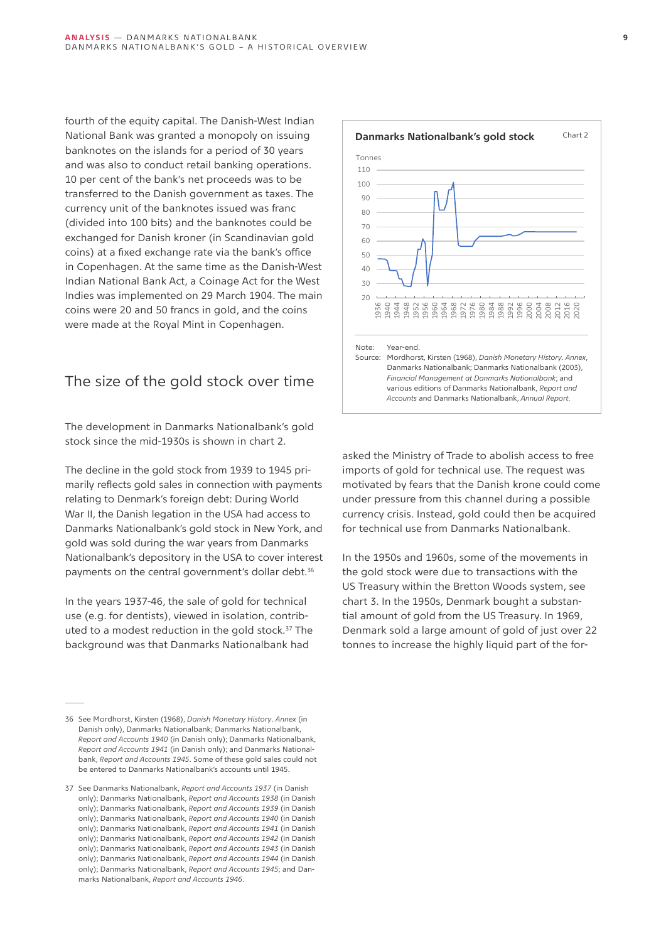fourth of the equity capital. The Danish-West Indian National Bank was granted a monopoly on issuing banknotes on the islands for a period of 30 years and was also to conduct retail banking operations. 10 per cent of the bank's net proceeds was to be transferred to the Danish government as taxes. The currency unit of the banknotes issued was franc (divided into 100 bits) and the banknotes could be exchanged for Danish kroner (in Scandinavian gold coins) at a fixed exchange rate via the bank's office in Copenhagen. At the same time as the Danish-West Indian National Bank Act, a Coinage Act for the West Indies was implemented on 29 March 1904. The main coins were 20 and 50 francs in gold, and the coins were made at the Royal Mint in Copenhagen.

# The size of the gold stock over time

The development in Danmarks Nationalbank's gold stock since the mid-1930s is shown in chart 2.

The decline in the gold stock from 1939 to 1945 primarily reflects gold sales in connection with payments relating to Denmark's foreign debt: During World War II, the Danish legation in the USA had access to Danmarks Nationalbank's gold stock in New York, and gold was sold during the war years from Danmarks Nationalbank's depository in the USA to cover interest payments on the central government's dollar debt.<sup>36</sup>

In the years 1937-46, the sale of gold for technical use (e.g. for dentists), viewed in isolation, contributed to a modest reduction in the gold stock.<sup>37</sup> The background was that Danmarks Nationalbank had



asked the Ministry of Trade to abolish access to free imports of gold for technical use. The request was motivated by fears that the Danish krone could come under pressure from this channel during a possible currency crisis. Instead, gold could then be acquired for technical use from Danmarks Nationalbank.

In the 1950s and 1960s, some of the movements in the gold stock were due to transactions with the US Treasury within the Bretton Woods system, see chart 3. In the 1950s, Denmark bought a substantial amount of gold from the US Treasury. In 1969, Denmark sold a large amount of gold of just over 22 tonnes to increase the highly liquid part of the for-

<sup>36</sup> See Mordhorst, Kirsten (1968), *Danish Monetary History*. *Annex* (in Danish only), Danmarks Nationalbank; Danmarks Nationalbank, *Report and Accounts 1940* (in Danish only); Danmarks Nationalbank, *Report and Accounts 1941* (in Danish only); and Danmarks Nationalbank, *Report and Accounts 1945*. Some of these gold sales could not be entered to Danmarks Nationalbank's accounts until 1945.

<sup>37</sup> See Danmarks Nationalbank, *Report and Accounts 1937* (in Danish only); Danmarks Nationalbank, *Report and Accounts 1938* (in Danish only); Danmarks Nationalbank, *Report and Accounts 1939* (in Danish only); Danmarks Nationalbank, *Report and Accounts 1940* (in Danish only); Danmarks Nationalbank, *Report and Accounts 1941* (in Danish only); Danmarks Nationalbank, *Report and Accounts 1942* (in Danish only); Danmarks Nationalbank, *Report and Accounts 1943* (in Danish only); Danmarks Nationalbank, *Report and Accounts 1944* (in Danish only); Danmarks Nationalbank, *Report and Accounts 1945*; and Danmarks Nationalbank, *Report and Accounts 1946*.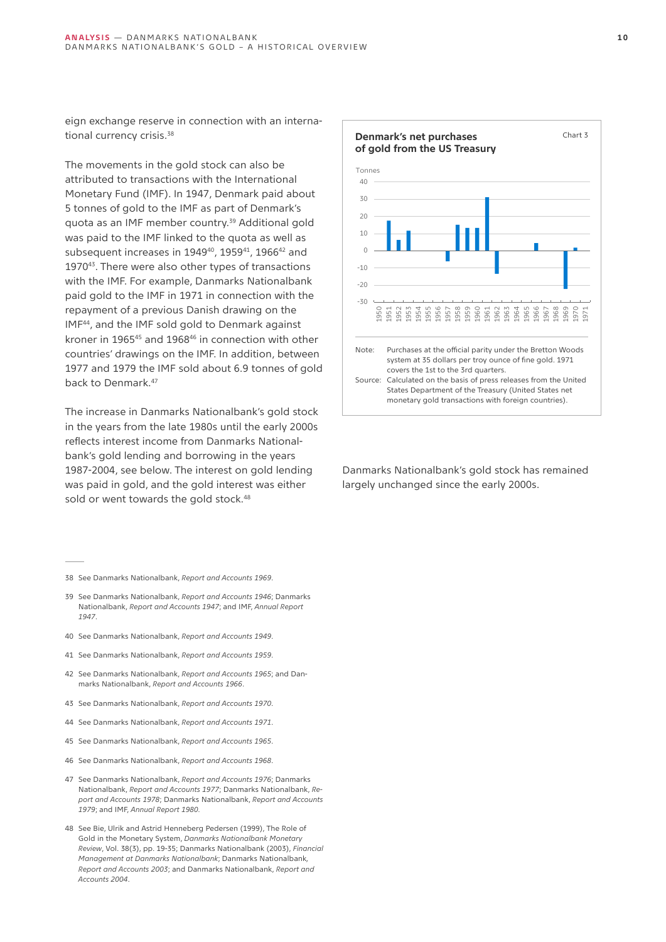eign exchange reserve in connection with an international currency crisis.<sup>38</sup>

The movements in the gold stock can also be attributed to transactions with the International Monetary Fund (IMF). In 1947, Denmark paid about 5 tonnes of gold to the IMF as part of Denmark's quota as an IMF member country.39 Additional gold was paid to the IMF linked to the quota as well as subsequent increases in 1949<sup>40</sup>, 1959<sup>41</sup>, 1966<sup>42</sup> and 197043. There were also other types of transactions with the IMF. For example, Danmarks Nationalbank paid gold to the IMF in 1971 in connection with the repayment of a previous Danish drawing on the IMF44, and the IMF sold gold to Denmark against kroner in 196545 and 196846 in connection with other countries' drawings on the IMF. In addition, between 1977 and 1979 the IMF sold about 6.9 tonnes of gold back to Denmark.47

The increase in Danmarks Nationalbank's gold stock in the years from the late 1980s until the early 2000s reflects interest income from Danmarks Nationalbank's gold lending and borrowing in the years 1987-2004, see below. The interest on gold lending was paid in gold, and the gold interest was either sold or went towards the gold stock.<sup>48</sup>

- 38 See Danmarks Nationalbank, *Report and Accounts 1969*.
- 39 See Danmarks Nationalbank, *Report and Accounts 1946*; Danmarks Nationalbank, *Report and Accounts 1947*; and IMF, *Annual Report 1947*.
- 40 See Danmarks Nationalbank, *Report and Accounts 1949*.
- 41 See Danmarks Nationalbank, *Report and Accounts 1959*.
- 42 See Danmarks Nationalbank, *Report and Accounts 1965*; and Danmarks Nationalbank, *Report and Accounts 1966*.
- 43 See Danmarks Nationalbank, *Report and Accounts 1970*.
- 44 See Danmarks Nationalbank, *Report and Accounts 1971*.
- 45 See Danmarks Nationalbank, *Report and Accounts 1965*.
- 46 See Danmarks Nationalbank, *Report and Accounts 1968*.
- 47 See Danmarks Nationalbank, *Report and Accounts 1976*; Danmarks Nationalbank, *Report and Accounts 1977*; Danmarks Nationalbank, *Report and Accounts 1978*; Danmarks Nationalbank, *Report and Accounts 1979*; and IMF, *Annual Report 1980.*
- 48 See Bie, Ulrik and Astrid Henneberg Pedersen (1999), The Role of Gold in the Monetary System, *Danmarks Nationalbank Monetary Review*, Vol. 38(3), pp. 19-35; Danmarks Nationalbank (2003), *Financial Management at Danmarks Nationalbank*; Danmarks Nationalbank*, Report and Accounts 2003*; and Danmarks Nationalbank, *Report and Accounts 2004*.



Danmarks Nationalbank's gold stock has remained largely unchanged since the early 2000s.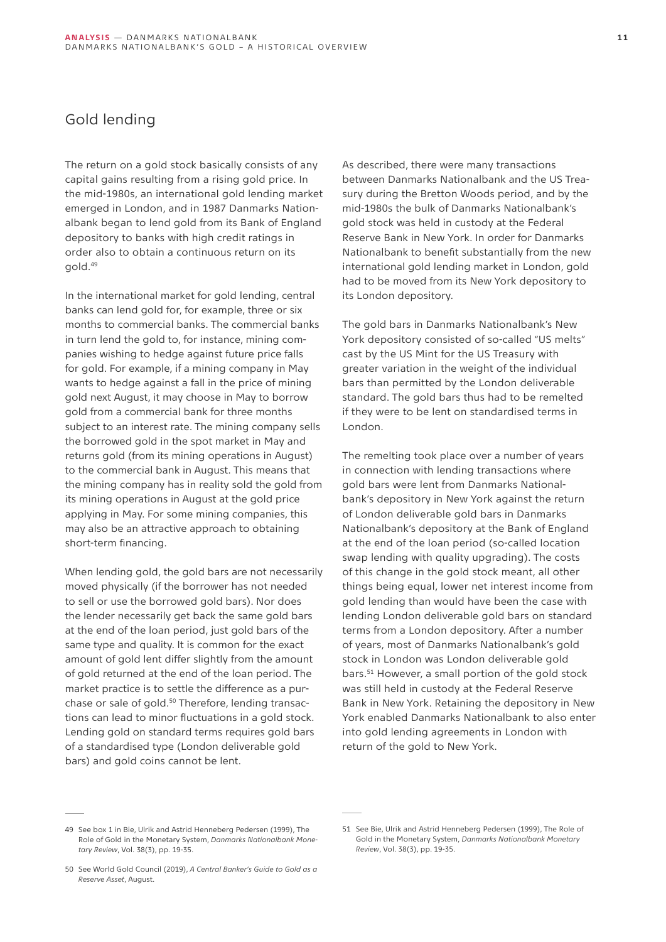# Gold lending

The return on a gold stock basically consists of any capital gains resulting from a rising gold price. In the mid-1980s, an international gold lending market emerged in London, and in 1987 Danmarks Nationalbank began to lend gold from its Bank of England depository to banks with high credit ratings in order also to obtain a continuous return on its gold.49

In the international market for gold lending, central banks can lend gold for, for example, three or six months to commercial banks. The commercial banks in turn lend the gold to, for instance, mining companies wishing to hedge against future price falls for gold. For example, if a mining company in May wants to hedge against a fall in the price of mining gold next August, it may choose in May to borrow gold from a commercial bank for three months subject to an interest rate. The mining company sells the borrowed gold in the spot market in May and returns gold (from its mining operations in August) to the commercial bank in August. This means that the mining company has in reality sold the gold from its mining operations in August at the gold price applying in May. For some mining companies, this may also be an attractive approach to obtaining short-term financing.

When lending gold, the gold bars are not necessarily moved physically (if the borrower has not needed to sell or use the borrowed gold bars). Nor does the lender necessarily get back the same gold bars at the end of the loan period, just gold bars of the same type and quality. It is common for the exact amount of gold lent differ slightly from the amount of gold returned at the end of the loan period. The market practice is to settle the difference as a purchase or sale of gold.50 Therefore, lending transactions can lead to minor fluctuations in a gold stock. Lending gold on standard terms requires gold bars of a standardised type (London deliverable gold bars) and gold coins cannot be lent.

As described, there were many transactions between Danmarks Nationalbank and the US Treasury during the Bretton Woods period, and by the mid-1980s the bulk of Danmarks Nationalbank's gold stock was held in custody at the Federal Reserve Bank in New York. In order for Danmarks Nationalbank to benefit substantially from the new international gold lending market in London, gold had to be moved from its New York depository to its London depository.

The gold bars in Danmarks Nationalbank's New York depository consisted of so-called "US melts" cast by the US Mint for the US Treasury with greater variation in the weight of the individual bars than permitted by the London deliverable standard. The gold bars thus had to be remelted if they were to be lent on standardised terms in London.

The remelting took place over a number of years in connection with lending transactions where gold bars were lent from Danmarks Nationalbank's depository in New York against the return of London deliverable gold bars in Danmarks Nationalbank's depository at the Bank of England at the end of the loan period (so-called location swap lending with quality upgrading). The costs of this change in the gold stock meant, all other things being equal, lower net interest income from gold lending than would have been the case with lending London deliverable gold bars on standard terms from a London depository. After a number of years, most of Danmarks Nationalbank's gold stock in London was London deliverable gold bars.51 However, a small portion of the gold stock was still held in custody at the Federal Reserve Bank in New York. Retaining the depository in New York enabled Danmarks Nationalbank to also enter into gold lending agreements in London with return of the gold to New York.

<sup>49</sup> See box 1 in Bie, Ulrik and Astrid Henneberg Pedersen (1999), The Role of Gold in the Monetary System, *Danmarks Nationalbank Monetary Review*, Vol. 38(3), pp. 19-35.

<sup>50</sup> See World Gold Council (2019), *A Central Banker's Guide to Gold as a Reserve Asset*, August.

<sup>51</sup> See Bie, Ulrik and Astrid Henneberg Pedersen (1999), The Role of Gold in the Monetary System, *Danmarks Nationalbank Monetary Review*, Vol. 38(3), pp. 19-35.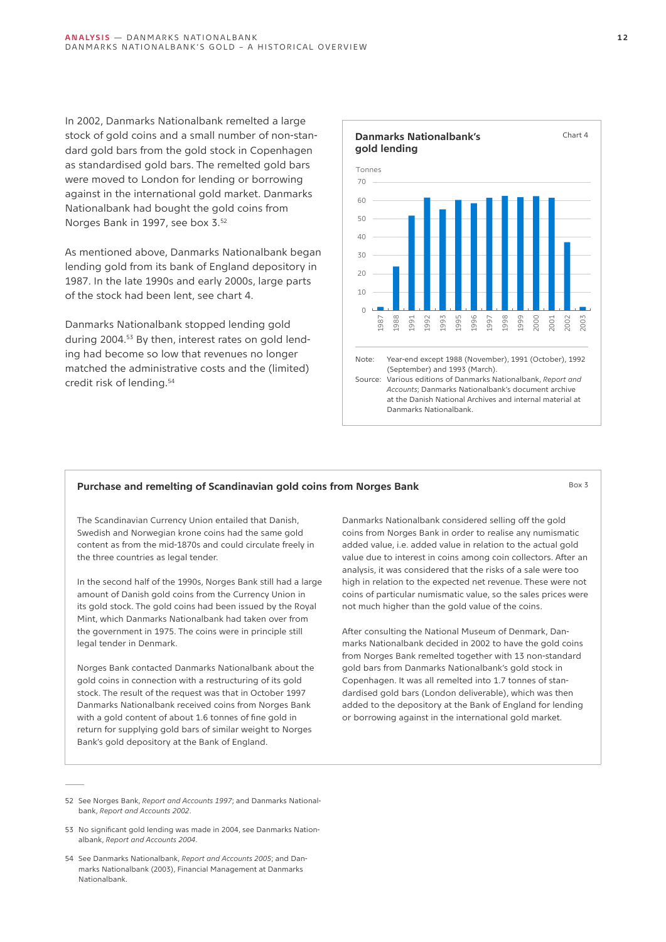In 2002, Danmarks Nationalbank remelted a large stock of gold coins and a small number of non-standard gold bars from the gold stock in Copenhagen as standardised gold bars. The remelted gold bars were moved to London for lending or borrowing against in the international gold market. Danmarks Nationalbank had bought the gold coins from Norges Bank in 1997, see box 3.52

As mentioned above, Danmarks Nationalbank began lending gold from its bank of England depository in 1987. In the late 1990s and early 2000s, large parts of the stock had been lent, see chart 4.

Danmarks Nationalbank stopped lending gold during 2004.53 By then, interest rates on gold lending had become so low that revenues no longer matched the administrative costs and the (limited) credit risk of lending.54

### **Danmarks Nationalbank's gold lending** Chart 4  $\Omega$ 10  $\overline{20}$  $30$ 40  $50$  $60$ 70 1987 1988 1991 1992 1993 1995 1996 1997 1998 1999 2000 2001 2002 2003 Tonnes Note: Year-end except 1988 (November), 1991 (October), 1992 (September) and 1993 (March). Source: Various editions of Danmarks Nationalbank, *Report and Accounts*; Danmarks Nationalbank's document archive at the Danish National Archives and internal material at Danmarks Nationalbank.

## **Purchase and remelting of Scandinavian gold coins from Norges Bank** Box 3 Box 3

The Scandinavian Currency Union entailed that Danish, Swedish and Norwegian krone coins had the same gold content as from the mid-1870s and could circulate freely in the three countries as legal tender.

In the second half of the 1990s, Norges Bank still had a large amount of Danish gold coins from the Currency Union in its gold stock. The gold coins had been issued by the Royal Mint, which Danmarks Nationalbank had taken over from the government in 1975. The coins were in principle still legal tender in Denmark.

Norges Bank contacted Danmarks Nationalbank about the gold coins in connection with a restructuring of its gold stock. The result of the request was that in October 1997 Danmarks Nationalbank received coins from Norges Bank with a gold content of about 1.6 tonnes of fine gold in return for supplying gold bars of similar weight to Norges Bank's gold depository at the Bank of England.

Danmarks Nationalbank considered selling off the gold coins from Norges Bank in order to realise any numismatic added value, i.e. added value in relation to the actual gold value due to interest in coins among coin collectors. After an analysis, it was considered that the risks of a sale were too high in relation to the expected net revenue. These were not coins of particular numismatic value, so the sales prices were not much higher than the gold value of the coins.

After consulting the National Museum of Denmark, Danmarks Nationalbank decided in 2002 to have the gold coins from Norges Bank remelted together with 13 non-standard gold bars from Danmarks Nationalbank's gold stock in Copenhagen. It was all remelted into 1.7 tonnes of standardised gold bars (London deliverable), which was then added to the depository at the Bank of England for lending or borrowing against in the international gold market.

- 53 No significant gold lending was made in 2004, see Danmarks Nationalbank, *Report and Accounts 2004*.
- 54 See Danmarks Nationalbank, *Report and Accounts 2005*; and Danmarks Nationalbank (2003), Financial Management at Danmarks Nationalbank.

<sup>52</sup> See Norges Bank, *Report and Accounts 1997*; and Danmarks Nationalbank, *Report and Accounts 2002*.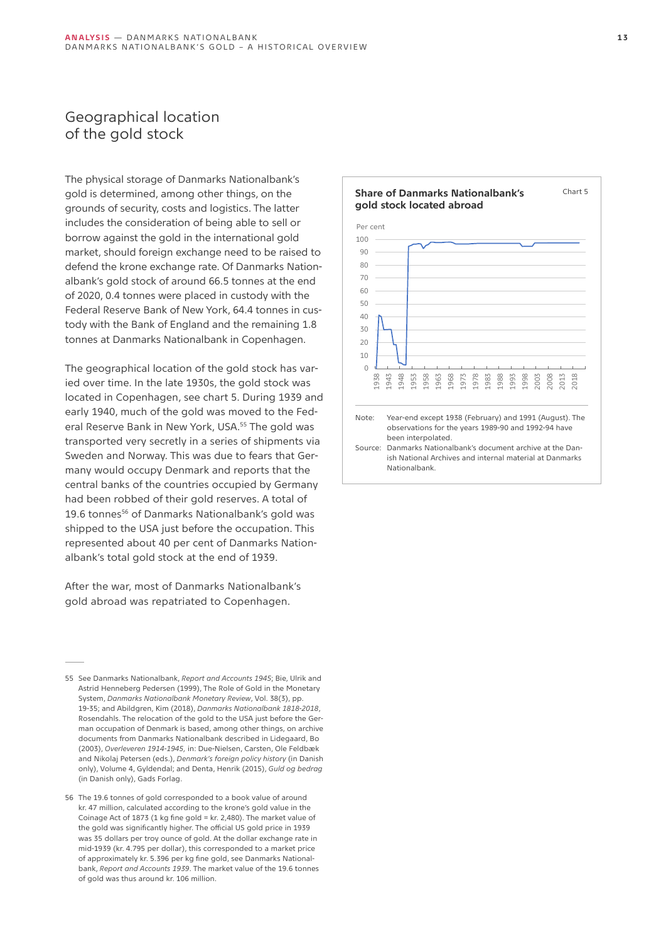# Geographical location of the gold stock

The physical storage of Danmarks Nationalbank's gold is determined, among other things, on the grounds of security, costs and logistics. The latter includes the consideration of being able to sell or borrow against the gold in the international gold market, should foreign exchange need to be raised to defend the krone exchange rate. Of Danmarks Nationalbank's gold stock of around 66.5 tonnes at the end of 2020, 0.4 tonnes were placed in custody with the Federal Reserve Bank of New York, 64.4 tonnes in custody with the Bank of England and the remaining 1.8 tonnes at Danmarks Nationalbank in Copenhagen.

The geographical location of the gold stock has varied over time. In the late 1930s, the gold stock was located in Copenhagen, see chart 5. During 1939 and early 1940, much of the gold was moved to the Federal Reserve Bank in New York, USA.<sup>55</sup> The gold was transported very secretly in a series of shipments via Sweden and Norway. This was due to fears that Germany would occupy Denmark and reports that the central banks of the countries occupied by Germany had been robbed of their gold reserves. A total of 19.6 tonnes<sup>56</sup> of Danmarks Nationalbank's gold was shipped to the USA just before the occupation. This represented about 40 per cent of Danmarks Nationalbank's total gold stock at the end of 1939.

After the war, most of Danmarks Nationalbank's gold abroad was repatriated to Copenhagen.

55 See Danmarks Nationalbank, *Report and Accounts 1945*; Bie, Ulrik and Astrid Henneberg Pedersen (1999), The Role of Gold in the Monetary System, *Danmarks Nationalbank Monetary Review*, Vol. 38(3), pp. 19-35; and Abildgren, Kim (2018), *Danmarks Nationalbank 1818-2018*, Rosendahls. The relocation of the gold to the USA just before the German occupation of Denmark is based, among other things, on archive documents from Danmarks Nationalbank described in Lidegaard, Bo (2003), *Overleveren 1914-1945,* in: Due-Nielsen, Carsten, Ole Feldbæk and Nikolaj Petersen (eds.), *Denmark's foreign policy history* (in Danish only), Volume 4, Gyldendal; and Denta, Henrik (2015), *Guld og bedrag*  (in Danish only), Gads Forlag.

56 The 19.6 tonnes of gold corresponded to a book value of around kr. 47 million, calculated according to the krone's gold value in the Coinage Act of 1873 (1 kg fine gold = kr. 2,480). The market value of the gold was significantly higher. The official US gold price in 1939 was 35 dollars per troy ounce of gold. At the dollar exchange rate in mid-1939 (kr. 4.795 per dollar), this corresponded to a market price of approximately kr. 5.396 per kg fine gold, see Danmarks Nationalbank, *Report and Accounts 1939*. The market value of the 19.6 tonnes of gold was thus around kr. 106 million.

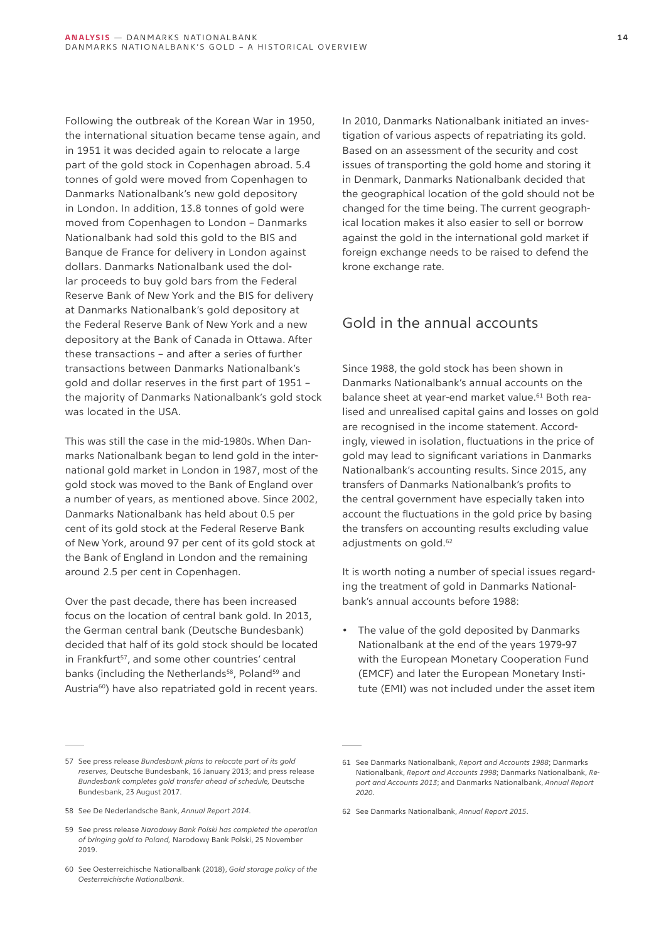Following the outbreak of the Korean War in 1950, the international situation became tense again, and in 1951 it was decided again to relocate a large part of the gold stock in Copenhagen abroad. 5.4 tonnes of gold were moved from Copenhagen to Danmarks Nationalbank's new gold depository in London. In addition, 13.8 tonnes of gold were moved from Copenhagen to London – Danmarks Nationalbank had sold this gold to the BIS and Banque de France for delivery in London against dollars. Danmarks Nationalbank used the dollar proceeds to buy gold bars from the Federal Reserve Bank of New York and the BIS for delivery at Danmarks Nationalbank's gold depository at the Federal Reserve Bank of New York and a new depository at the Bank of Canada in Ottawa. After these transactions – and after a series of further transactions between Danmarks Nationalbank's gold and dollar reserves in the first part of 1951 – the majority of Danmarks Nationalbank's gold stock was located in the USA.

This was still the case in the mid-1980s. When Danmarks Nationalbank began to lend gold in the international gold market in London in 1987, most of the gold stock was moved to the Bank of England over a number of years, as mentioned above. Since 2002, Danmarks Nationalbank has held about 0.5 per cent of its gold stock at the Federal Reserve Bank of New York, around 97 per cent of its gold stock at the Bank of England in London and the remaining around 2.5 per cent in Copenhagen.

Over the past decade, there has been increased focus on the location of central bank gold. In 2013, the German central bank (Deutsche Bundesbank) decided that half of its gold stock should be located in Frankfurt<sup>57</sup>, and some other countries' central banks (including the Netherlands<sup>58</sup>, Poland<sup>59</sup> and Austria<sup>60</sup>) have also repatriated gold in recent years.

In 2010, Danmarks Nationalbank initiated an investigation of various aspects of repatriating its gold. Based on an assessment of the security and cost issues of transporting the gold home and storing it in Denmark, Danmarks Nationalbank decided that the geographical location of the gold should not be changed for the time being. The current geographical location makes it also easier to sell or borrow against the gold in the international gold market if foreign exchange needs to be raised to defend the krone exchange rate.

# Gold in the annual accounts

Since 1988, the gold stock has been shown in Danmarks Nationalbank's annual accounts on the balance sheet at year-end market value.<sup>61</sup> Both realised and unrealised capital gains and losses on gold are recognised in the income statement. Accordingly, viewed in isolation, fluctuations in the price of gold may lead to significant variations in Danmarks Nationalbank's accounting results. Since 2015, any transfers of Danmarks Nationalbank's profits to the central government have especially taken into account the fluctuations in the gold price by basing the transfers on accounting results excluding value adjustments on gold.<sup>62</sup>

It is worth noting a number of special issues regarding the treatment of gold in Danmarks Nationalbank's annual accounts before 1988:

• The value of the gold deposited by Danmarks Nationalbank at the end of the years 1979-97 with the European Monetary Cooperation Fund (EMCF) and later the European Monetary Institute (EMI) was not included under the asset item

<sup>57</sup> See press release *Bundesbank plans to relocate part of its gold reserves,* Deutsche Bundesbank, 16 January 2013; and press release *Bundesbank completes gold transfer ahead of schedule,* Deutsche Bundesbank, 23 August 2017.

<sup>58</sup> See De Nederlandsche Bank, *Annual Report 2014*.

<sup>59</sup> See press release *Narodowy Bank Polski has completed the operation of bringing gold to Poland,* Narodowy Bank Polski, 25 November 2019.

<sup>60</sup> See Oesterreichische Nationalbank (2018), *Gold storage policy of the Oesterreichische Nationalbank*.

<sup>61</sup> See Danmarks Nationalbank, *Report and Accounts 1988*; Danmarks Nationalbank, *Report and Accounts 1998*; Danmarks Nationalbank, *Report and Accounts 2013*; and Danmarks Nationalbank, *Annual Report 2020*.

<sup>62</sup> See Danmarks Nationalbank, *Annual Report 2015*.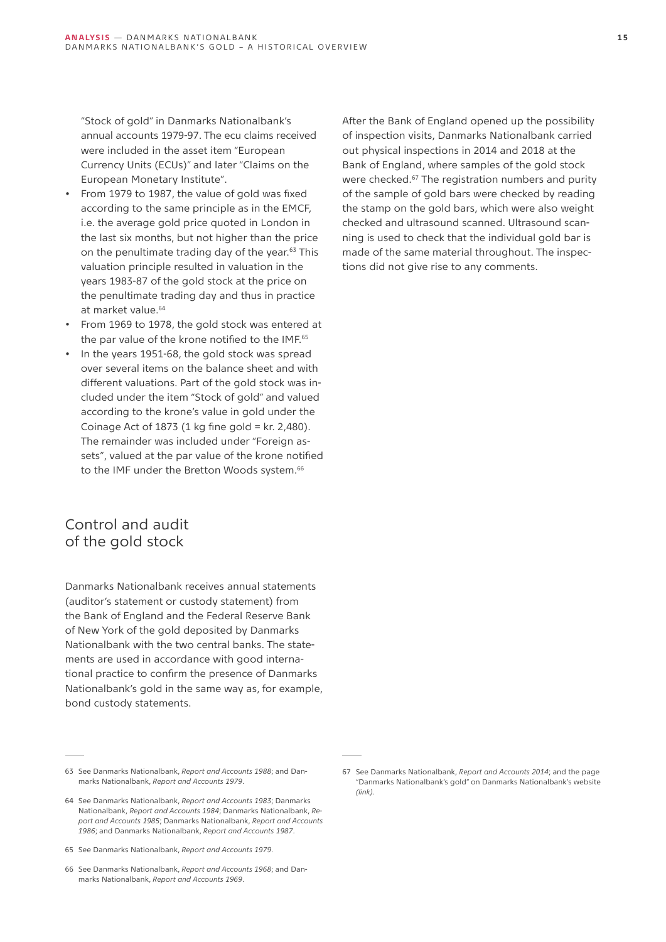"Stock of gold" in Danmarks Nationalbank's annual accounts 1979-97. The ecu claims received were included in the asset item "European Currency Units (ECUs)" and later "Claims on the European Monetary Institute".

- From 1979 to 1987, the value of gold was fixed according to the same principle as in the EMCF, i.e. the average gold price quoted in London in the last six months, but not higher than the price on the penultimate trading day of the year.63 This valuation principle resulted in valuation in the years 1983-87 of the gold stock at the price on the penultimate trading day and thus in practice at market value.<sup>64</sup>
- From 1969 to 1978, the gold stock was entered at the par value of the krone notified to the IMF.<sup>65</sup>
- In the years 1951-68, the gold stock was spread over several items on the balance sheet and with different valuations. Part of the gold stock was included under the item "Stock of gold" and valued according to the krone's value in gold under the Coinage Act of  $1873$  (1 kg fine gold = kr. 2,480). The remainder was included under "Foreign assets", valued at the par value of the krone notified to the IMF under the Bretton Woods system.<sup>66</sup>

# Control and audit of the gold stock

Danmarks Nationalbank receives annual statements (auditor's statement or custody statement) from the Bank of England and the Federal Reserve Bank of New York of the gold deposited by Danmarks Nationalbank with the two central banks. The statements are used in accordance with good international practice to confirm the presence of Danmarks Nationalbank's gold in the same way as, for example, bond custody statements.

63 See Danmarks Nationalbank, *Report and Accounts 1988*; and Danmarks Nationalbank, *Report and Accounts 1979*.

After the Bank of England opened up the possibility of inspection visits, Danmarks Nationalbank carried out physical inspections in 2014 and 2018 at the Bank of England, where samples of the gold stock were checked.<sup>67</sup> The registration numbers and purity of the sample of gold bars were checked by reading the stamp on the gold bars, which were also weight checked and ultrasound scanned. Ultrasound scanning is used to check that the individual gold bar is made of the same material throughout. The inspections did not give rise to any comments.

<sup>64</sup> See Danmarks Nationalbank, *Report and Accounts 1983*; Danmarks Nationalbank, *Report and Accounts 1984*; Danmarks Nationalbank, *Report and Accounts 1985*; Danmarks Nationalbank, *Report and Accounts 1986*; and Danmarks Nationalbank, *Report and Accounts 1987*.

<sup>65</sup> See Danmarks Nationalbank, *Report and Accounts 1979*.

<sup>66</sup> See Danmarks Nationalbank, *Report and Accounts 1968*; and Danmarks Nationalbank, *Report and Accounts 1969*.

<sup>67</sup> See Danmarks Nationalbank, *Report and Accounts 2014*; and the page "Danmarks Nationalbank's gold" on Danmarks Nationalbank's website *[\(link\)](https://www.nationalbanken.dk/en/about_danmarks_nationalbank/Pages/Danmarks-Nationalbank)*.